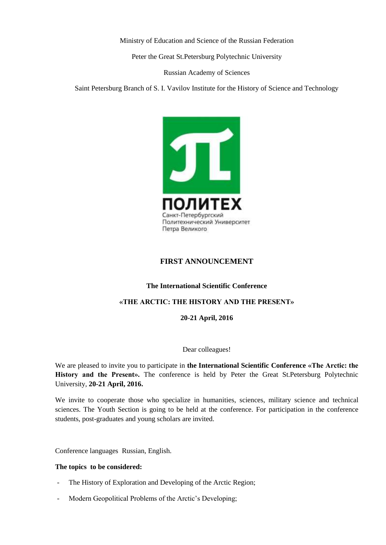Ministry of Education and Science of the Russian Federation

Peter the Great St.Petersburg Polytechnic University

Russian Academy of Sciences

Saint Petersburg Branch of S. I. Vavilov Institute for the History of Science and Technology



# **[FIRST ANNOUNCEMENT](https://www.google.ru/url?sa=t&rct=j&q=&esrc=s&source=web&cd=9&cad=rja&uact=8&ved=0ahUKEwio5eKSk_XJAhXCiSwKHVL5CuQQFgg5MAg&url=http%3A%2F%2Fwww.icpe2014.org%2Finternational-conference-on-physics-education-icpe-2014-first-announcement%2F&usg=AFQjCNHsyWVHQ7uCAjBVwm9bVeqHwyvXxQ&sig2=pxrDWd0jFMwHpeoMPCGqJg&bvm=bv.110151844,d.bGg)**

## **The International Scientific Conference**

## **«THE ARCTIC: THE HISTORY AND THE PRESENT»**

#### **20-21 April, 2016**

#### Dear colleagues!

We are pleased to invite you to participate in **the International Scientific Conference «The Arctic: the History and the Present».** The conference is held by Peter the Great St.Petersburg Polytechnic University, **20-21 April, 2016.**

We invite to cooperate those who specialize in humanities, sciences, military science and technical sciences. The Youth Section is going to be held at the conference. For participation in the conference students, post-graduates and young scholars are invited.

Conference languages Russian, English.

#### **The topics to be considered:**

- The History of Exploration and Developing of the Arctic Region;
- Modern Geopolitical Problems of the Arctic's Developing;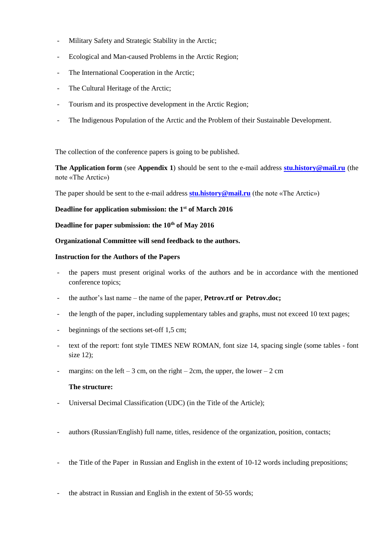- Military Safety and Strategic Stability in the Arctic;
- Ecological and Man-caused Problems in the Arctic Region;
- The International Cooperation in the Arctic;
- The Cultural Heritage of the Arctic;
- Tourism and its prospective development in the Arctic Region;
- The Indigenous Population of the Arctic and the Problem of their Sustainable Development.

The collection of the conference papers is going to be published.

**The Application form** (see **Appendix 1**) should be sent to the e-mail address **[stu.history@mail.ru](mailto:stu.history@mail.ru)** (the note «The Arctic»)

The paper should be sent to the e-mail address **[stu.history@mail.ru](mailto:stu.history@mail.ru)** (the note «The Arctic»)

# **Deadline for application submission: the 1st of March 2016**

**Deadline for paper submission: the 10th of May 2016**

# **Organizational Committee will send feedback to the authors.**

# **Instruction for the Authors of the Papers**

- the papers must present original works of the authors and be in accordance with the mentioned conference topics;
- the author's last name the name of the paper, **Petrov.rtf or Petrov.doc;**
- the length of the paper, including supplementary tables and graphs, must not exceed 10 text pages;
- beginnings of the sections set-off 1.5 cm;
- text of the report: font style TIMES NEW ROMAN, font size 14, spacing single (some tables font size 12);
- margins: on the left 3 cm, on the right 2 cm, the upper, the lower 2 cm

## **The structure:**

- Universal Decimal Classification (UDC) (in the Title of the Article);
- authors (Russian/English) full name, titles, residence of the organization, position, contacts;
- the Title of the Paper in Russian and English in the extent of 10-12 words including prepositions;
- the abstract in Russian and English in the extent of 50-55 words;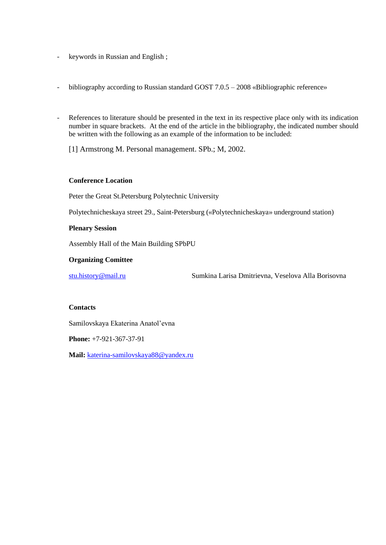- keywords in Russian and English ;
- bibliography according to Russian standard GOST 7.0.5 2008 «Bibliographic reference»
- References to literature should be presented in the text in its respective place only with its indication number in square brackets. At the end of the article in the bibliography, the indicated number should be written with the following as an example of the information to be included:
	- [1] Armstrong M. Personal management. SPb.; М, 2002.

# **Conference Location**

Peter the Great St.Petersburg Polytechnic University

Polytechnicheskaya street 29., Saint-Petersburg («Polytechnicheskaya» underground station)

## **Plenary Session**

Assembly Hall of the Main Building SPbPU

## **Organizing Comittee**

[stu.history@mail.ru](mailto:stu.history@mail.ru) Sumkina Larisa Dmitrievna, Veselova Alla Borisovna

## **Contacts**

Samilovskaya Ekaterina Anatol'evna

**Phone:** +7-921-367-37-91

**Mail:** [katerina-samilovskaya88@yandex.ru](mailto:katerina-samilovskaya88@yandex.ru)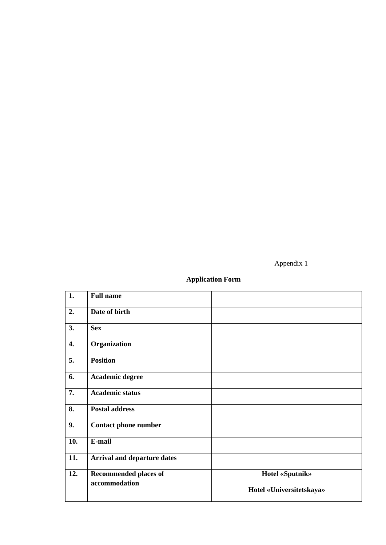Appendix 1

# **Application Form**

| 1.  | <b>Full name</b>                   |                          |
|-----|------------------------------------|--------------------------|
| 2.  | Date of birth                      |                          |
| 3.  | <b>Sex</b>                         |                          |
| 4.  | Organization                       |                          |
| 5.  | <b>Position</b>                    |                          |
| 6.  | Academic degree                    |                          |
| 7.  | <b>Academic status</b>             |                          |
| 8.  | <b>Postal address</b>              |                          |
| 9.  | <b>Contact phone number</b>        |                          |
| 10. | E-mail                             |                          |
| 11. | <b>Arrival and departure dates</b> |                          |
| 12. | <b>Recommended places of</b>       | <b>Hotel «Sputnik»</b>   |
|     | accommodation                      | Hotel «Universitetskaya» |